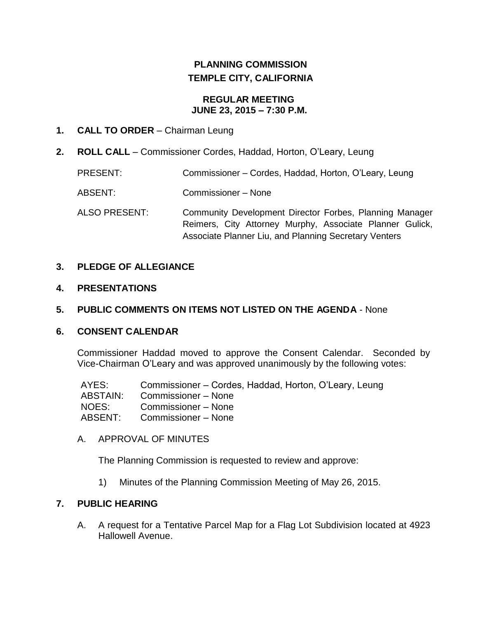# **PLANNING COMMISSION TEMPLE CITY, CALIFORNIA**

#### **REGULAR MEETING JUNE 23, 2015 – 7:30 P.M.**

# **1. CALL TO ORDER** – Chairman Leung

**2. ROLL CALL** – Commissioner Cordes, Haddad, Horton, O'Leary, Leung

PRESENT: Commissioner – Cordes, Haddad, Horton, O'Leary, Leung ABSENT: Commissioner – None ALSO PRESENT: Community Development Director Forbes, Planning Manager Reimers, City Attorney Murphy, Associate Planner Gulick, Associate Planner Liu, and Planning Secretary Venters

# **3. PLEDGE OF ALLEGIANCE**

## **4. PRESENTATIONS**

## **5. PUBLIC COMMENTS ON ITEMS NOT LISTED ON THE AGENDA** - None

### **6. CONSENT CALENDAR**

Commissioner Haddad moved to approve the Consent Calendar. Seconded by Vice-Chairman O'Leary and was approved unanimously by the following votes:

AYES: Commissioner – Cordes, Haddad, Horton, O'Leary, Leung ABSTAIN: Commissioner – None NOES: Commissioner – None ABSENT: Commissioner – None

A. APPROVAL OF MINUTES

The Planning Commission is requested to review and approve:

1) Minutes of the [Planning Commission Meeting](http://ca-templecity.civicplus.com/DocumentCenter/View/3892) of May 26, 2015.

### **7. PUBLIC HEARING**

A. A request for a Tentative Parcel Map for a Flag Lot Subdivision located at 4923 Hallowell Avenue.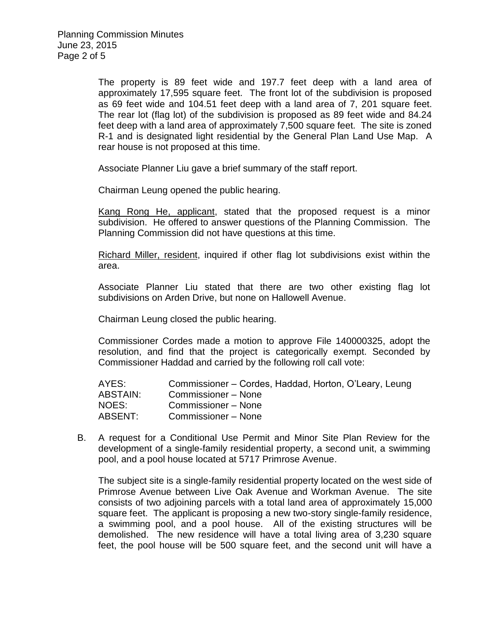The property is 89 feet wide and 197.7 feet deep with a land area of approximately 17,595 square feet. The front lot of the subdivision is proposed as 69 feet wide and 104.51 feet deep with a land area of 7, 201 square feet. The rear lot (flag lot) of the subdivision is proposed as 89 feet wide and 84.24 feet deep with a land area of approximately 7,500 square feet. The site is zoned R-1 and is designated light residential by the General Plan Land Use Map. A rear house is not proposed at this time.

Associate Planner Liu gave a brief summary of the staff report.

Chairman Leung opened the public hearing.

Kang Rong He, applicant, stated that the proposed request is a minor subdivision. He offered to answer questions of the Planning Commission. The Planning Commission did not have questions at this time.

Richard Miller, resident, inquired if other flag lot subdivisions exist within the area.

Associate Planner Liu stated that there are two other existing flag lot subdivisions on Arden Drive, but none on Hallowell Avenue.

Chairman Leung closed the public hearing.

Commissioner Cordes made a motion to approve File 140000325, adopt the resolution, and find that the project is categorically exempt. Seconded by Commissioner Haddad and carried by the following roll call vote:

| AYES:           | Commissioner – Cordes, Haddad, Horton, O'Leary, Leung |
|-----------------|-------------------------------------------------------|
| <b>ABSTAIN:</b> | Commissioner – None                                   |
| NOES:           | Commissioner – None                                   |
| ABSENT:         | Commissioner - None                                   |

B. A request for a Conditional Use Permit and Minor Site Plan Review for the development of a single-family residential property, a second unit, a swimming pool, and a pool house located at 5717 Primrose Avenue.

The subject site is a single-family residential property located on the west side of Primrose Avenue between Live Oak Avenue and Workman Avenue. The site consists of two adjoining parcels with a total land area of approximately 15,000 square feet. The applicant is proposing a new two-story single-family residence, a swimming pool, and a pool house. All of the existing structures will be demolished. The new residence will have a total living area of 3,230 square feet, the pool house will be 500 square feet, and the second unit will have a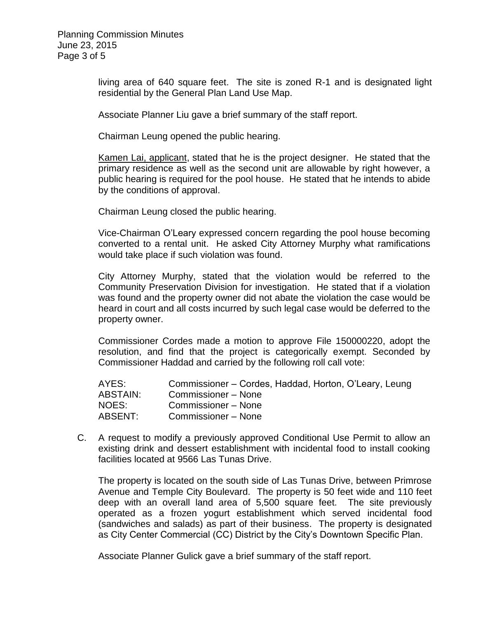living area of 640 square feet. The site is zoned R-1 and is designated light residential by the General Plan Land Use Map.

Associate Planner Liu gave a brief summary of the staff report.

Chairman Leung opened the public hearing.

Kamen Lai, applicant, stated that he is the project designer. He stated that the primary residence as well as the second unit are allowable by right however, a public hearing is required for the pool house. He stated that he intends to abide by the conditions of approval.

Chairman Leung closed the public hearing.

Vice-Chairman O'Leary expressed concern regarding the pool house becoming converted to a rental unit. He asked City Attorney Murphy what ramifications would take place if such violation was found.

City Attorney Murphy, stated that the violation would be referred to the Community Preservation Division for investigation. He stated that if a violation was found and the property owner did not abate the violation the case would be heard in court and all costs incurred by such legal case would be deferred to the property owner.

Commissioner Cordes made a motion to approve File 150000220, adopt the resolution, and find that the project is categorically exempt. Seconded by Commissioner Haddad and carried by the following roll call vote:

| AYES:    | Commissioner – Cordes, Haddad, Horton, O'Leary, Leung |
|----------|-------------------------------------------------------|
| ABSTAIN: | Commissioner – None                                   |
| NOES:    | Commissioner – None                                   |
| ABSENT:  | Commissioner – None                                   |

C. A request to modify a previously approved Conditional Use Permit to allow an existing drink and dessert establishment with incidental food to install cooking facilities located at 9566 Las Tunas Drive.

The property is located on the south side of Las Tunas Drive, between Primrose Avenue and Temple City Boulevard. The property is 50 feet wide and 110 feet deep with an overall land area of 5,500 square feet. The site previously operated as a frozen yogurt establishment which served incidental food (sandwiches and salads) as part of their business. The property is designated as City Center Commercial (CC) District by the City's Downtown Specific Plan.

Associate Planner Gulick gave a brief summary of the staff report.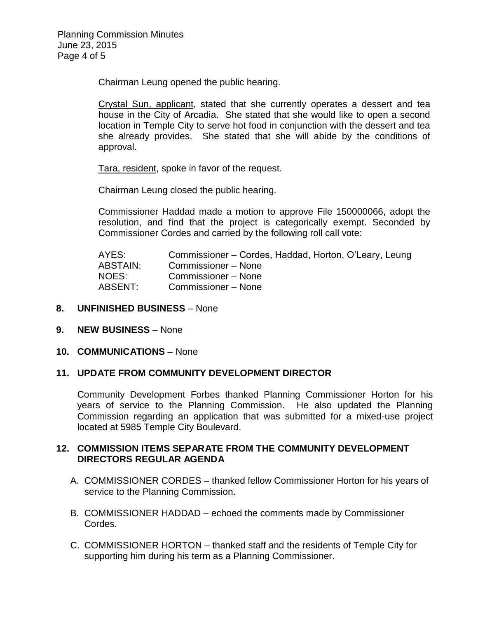Chairman Leung opened the public hearing.

Crystal Sun, applicant, stated that she currently operates a dessert and tea house in the City of Arcadia. She stated that she would like to open a second location in Temple City to serve hot food in conjunction with the dessert and tea she already provides. She stated that she will abide by the conditions of approval.

Tara, resident, spoke in favor of the request.

Chairman Leung closed the public hearing.

Commissioner Haddad made a motion to approve File 150000066, adopt the resolution, and find that the project is categorically exempt. Seconded by Commissioner Cordes and carried by the following roll call vote:

| Commissioner – Cordes, Haddad, Horton, O'Leary, Leung |
|-------------------------------------------------------|
| Commissioner – None                                   |
| Commissioner – None                                   |
| Commissioner - None                                   |
|                                                       |

### **8. UNFINISHED BUSINESS** – None

- **9. NEW BUSINESS** None
- **10. COMMUNICATIONS** None

### **11. UPDATE FROM COMMUNITY DEVELOPMENT DIRECTOR**

Community Development Forbes thanked Planning Commissioner Horton for his years of service to the Planning Commission. He also updated the Planning Commission regarding an application that was submitted for a mixed-use project located at 5985 Temple City Boulevard.

## **12. COMMISSION ITEMS SEPARATE FROM THE COMMUNITY DEVELOPMENT DIRECTORS REGULAR AGENDA**

- A. COMMISSIONER CORDES thanked fellow Commissioner Horton for his years of service to the Planning Commission.
- B. COMMISSIONER HADDAD echoed the comments made by Commissioner Cordes.
- C. COMMISSIONER HORTON thanked staff and the residents of Temple City for supporting him during his term as a Planning Commissioner.